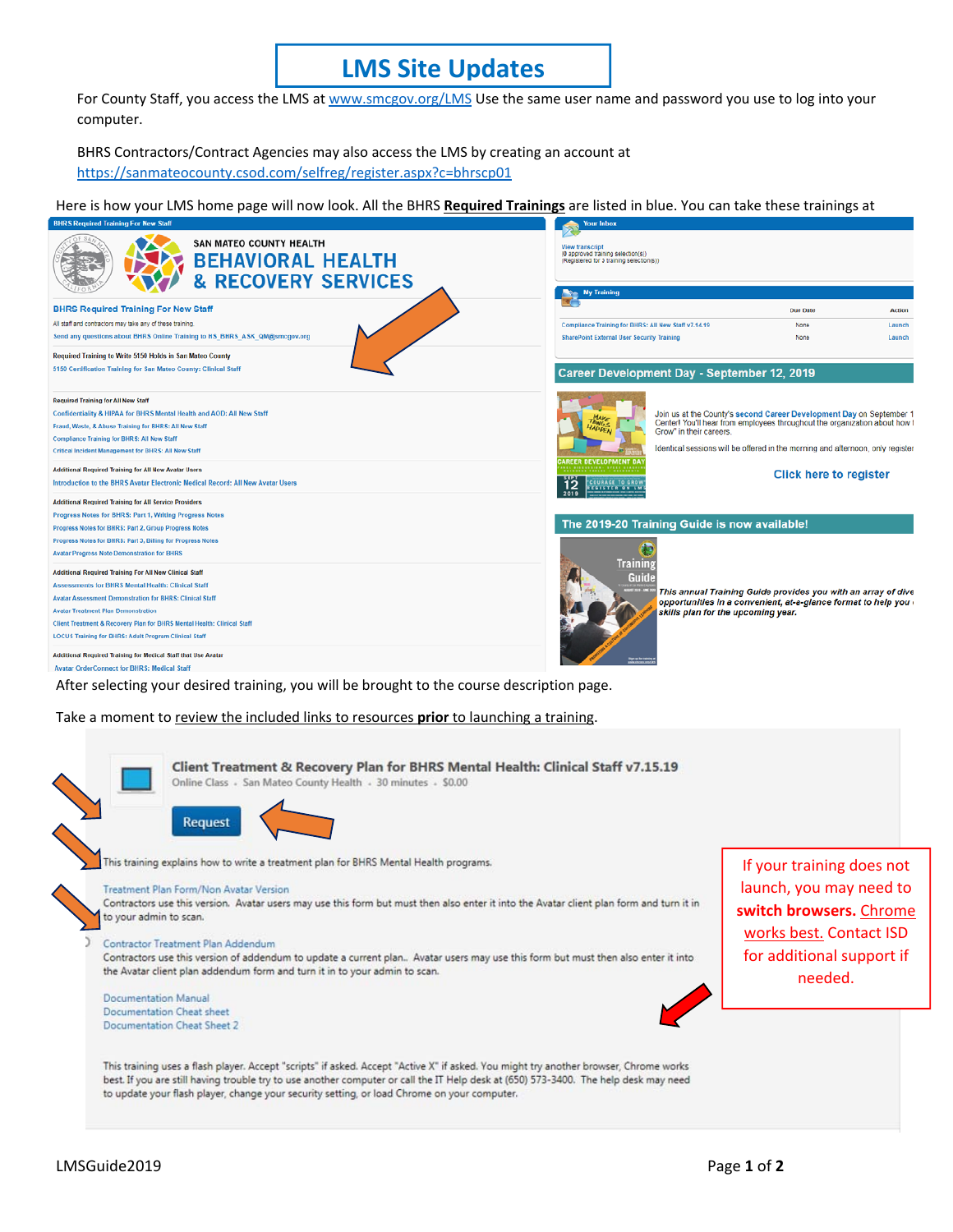## **LMS Site Updates**

For County Staff, you access the LMS at www.smcgov.org/LMS Use the same user name and password you use to log into your computer.

BHRS Contractors/Contract Agencies may also access the LMS by creating an account at https://sanmateocounty.csod.com/selfreg/register.aspx?c=bhrscp01